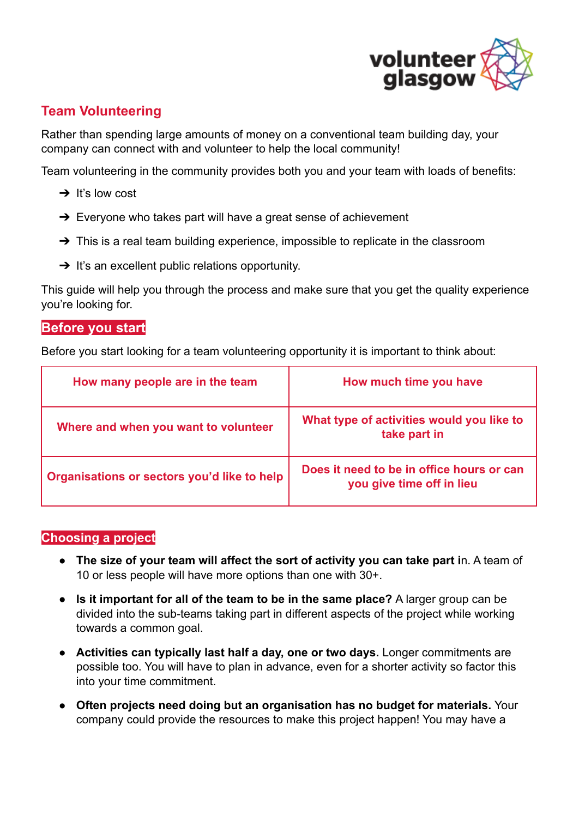

# **Team Volunteering**

Rather than spending large amounts of money on a conventional team building day, your company can connect with and volunteer to help the local community!

Team volunteering in the community provides both you and your team with loads of benefits:

- $\rightarrow$  It's low cost
- $\rightarrow$  Everyone who takes part will have a great sense of achievement
- $\rightarrow$  This is a real team building experience, impossible to replicate in the classroom
- $\rightarrow$  It's an excellent public relations opportunity.

This guide will help you through the process and make sure that you get the quality experience you're looking for.

## **Before you start**

Before you start looking for a team volunteering opportunity it is important to think about:

| How many people are in the team             | How much time you have                                                 |
|---------------------------------------------|------------------------------------------------------------------------|
| Where and when you want to volunteer        | What type of activities would you like to<br>take part in              |
| Organisations or sectors you'd like to help | Does it need to be in office hours or can<br>you give time off in lieu |

#### **Choosing a project**

- **The size of your team will affect the sort of activity you can take part i**n. A team of 10 or less people will have more options than one with 30+.
- **Is it important for all of the team to be in the same place?** A larger group can be divided into the sub-teams taking part in different aspects of the project while working towards a common goal.
- **Activities can typically last half a day, one or two days.** Longer commitments are possible too. You will have to plan in advance, even for a shorter activity so factor this into your time commitment.
- **Often projects need doing but an organisation has no budget for materials.** Your company could provide the resources to make this project happen! You may have a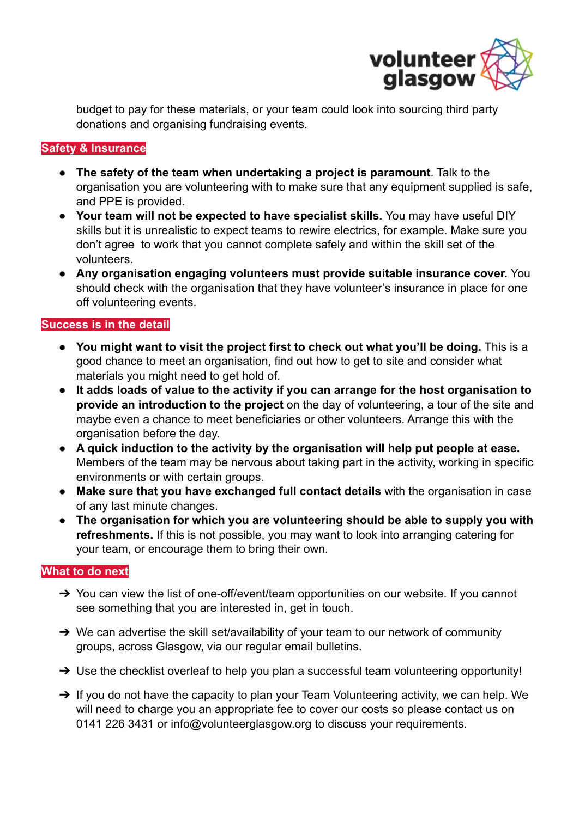

budget to pay for these materials, or your team could look into sourcing third party donations and organising fundraising events.

### **Safety & Insurance**

- **The safety of the team when undertaking a project is paramount**. Talk to the organisation you are volunteering with to make sure that any equipment supplied is safe, and PPE is provided.
- **Your team will not be expected to have specialist skills.** You may have useful DIY skills but it is unrealistic to expect teams to rewire electrics, for example. Make sure you don't agree to work that you cannot complete safely and within the skill set of the volunteers.
- **Any organisation engaging volunteers must provide suitable insurance cover.** You should check with the organisation that they have volunteer's insurance in place for one off volunteering events.

#### **Success is in the detail**

- **You might want to visit the project first to check out what you'll be doing.** This is a good chance to meet an organisation, find out how to get to site and consider what materials you might need to get hold of.
- **It adds loads of value to the activity if you can arrange for the host organisation to provide an introduction to the project** on the day of volunteering, a tour of the site and maybe even a chance to meet beneficiaries or other volunteers. Arrange this with the organisation before the day.
- **A quick induction to the activity by the organisation will help put people at ease.** Members of the team may be nervous about taking part in the activity, working in specific environments or with certain groups.
- **Make sure that you have exchanged full contact details** with the organisation in case of any last minute changes.
- **The organisation for which you are volunteering should be able to supply you with refreshments.** If this is not possible, you may want to look into arranging catering for your team, or encourage them to bring their own.

#### **What to do next**

- → You can view the list of one-off/event/team opportunities on our website. If you cannot see something that you are interested in, get in touch.
- → We can advertise the skill set/availability of your team to our network of community groups, across Glasgow, via our regular email bulletins.
- → Use the checklist overleaf to help you plan a successful team volunteering opportunity!
- → If you do not have the capacity to plan your Team Volunteering activity, we can help. We will need to charge you an appropriate fee to cover our costs so please contact us on 0141 226 3431 or info@volunteerglasgow.org to discuss your requirements.